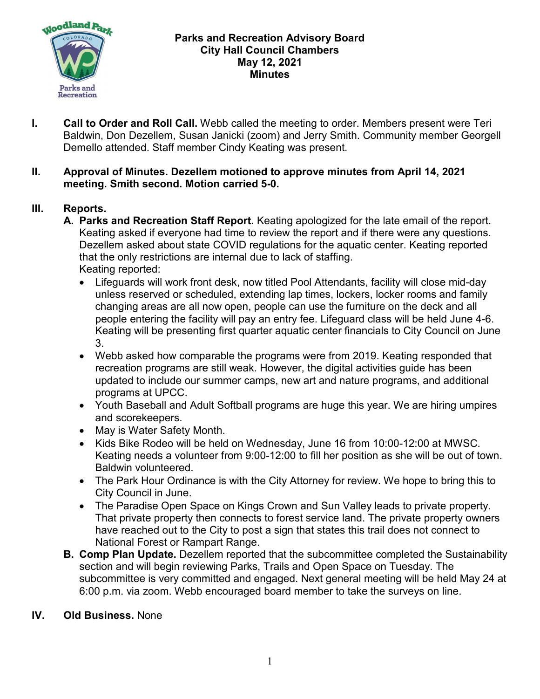

### **Parks and Recreation Advisory Board City Hall Council Chambers May 12, 2021 Minutes**

**I. Call to Order and Roll Call.** Webb called the meeting to order. Members present were Teri Baldwin, Don Dezellem, Susan Janicki (zoom) and Jerry Smith. Community member Georgell Demello attended. Staff member Cindy Keating was present.

### **II. Approval of Minutes. Dezellem motioned to approve minutes from April 14, 2021 meeting. Smith second. Motion carried 5-0.**

# **III. Reports.**

- **A. Parks and Recreation Staff Report.** Keating apologized for the late email of the report. Keating asked if everyone had time to review the report and if there were any questions. Dezellem asked about state COVID regulations for the aquatic center. Keating reported that the only restrictions are internal due to lack of staffing. Keating reported:
	- Lifeguards will work front desk, now titled Pool Attendants, facility will close mid-day unless reserved or scheduled, extending lap times, lockers, locker rooms and family changing areas are all now open, people can use the furniture on the deck and all people entering the facility will pay an entry fee. Lifeguard class will be held June 4-6. Keating will be presenting first quarter aquatic center financials to City Council on June 3.
	- Webb asked how comparable the programs were from 2019. Keating responded that recreation programs are still weak. However, the digital activities guide has been updated to include our summer camps, new art and nature programs, and additional programs at UPCC.
	- Youth Baseball and Adult Softball programs are huge this year. We are hiring umpires and scorekeepers.
	- May is Water Safety Month.
	- Kids Bike Rodeo will be held on Wednesday, June 16 from 10:00-12:00 at MWSC. Keating needs a volunteer from 9:00-12:00 to fill her position as she will be out of town. Baldwin volunteered.
	- The Park Hour Ordinance is with the City Attorney for review. We hope to bring this to City Council in June.
	- The Paradise Open Space on Kings Crown and Sun Valley leads to private property. That private property then connects to forest service land. The private property owners have reached out to the City to post a sign that states this trail does not connect to National Forest or Rampart Range.
- **B. Comp Plan Update.** Dezellem reported that the subcommittee completed the Sustainability section and will begin reviewing Parks, Trails and Open Space on Tuesday. The subcommittee is very committed and engaged. Next general meeting will be held May 24 at 6:00 p.m. via zoom. Webb encouraged board member to take the surveys on line.

### **IV. Old Business.** None